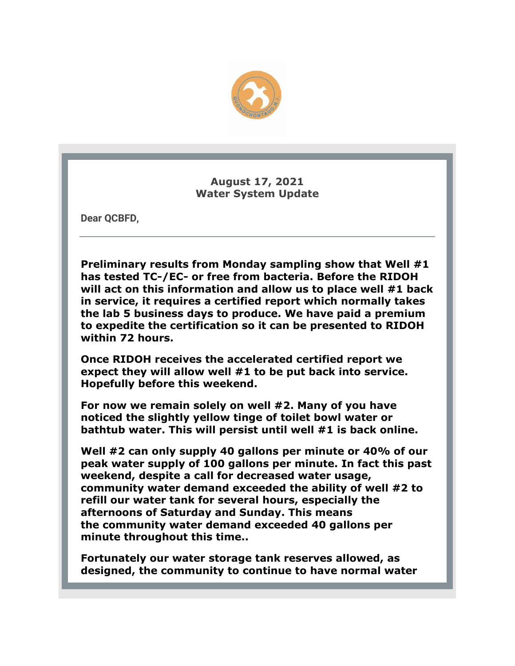

**August 17, 2021 Water System Update**

**Dear QCBFD,**

**Preliminary results from Monday sampling show that Well #1 has tested TC-/EC- or free from bacteria. Before the RIDOH will act on this information and allow us to place well #1 back in service, it requires a certified report which normally takes the lab 5 business days to produce. We have paid a premium to expedite the certification so it can be presented to RIDOH within 72 hours.**

**Once RIDOH receives the accelerated certified report we expect they will allow well #1 to be put back into service. Hopefully before this weekend.**

**For now we remain solely on well #2. Many of you have noticed the slightly yellow tinge of toilet bowl water or bathtub water. This will persist until well #1 is back online.**

**Well #2 can only supply 40 gallons per minute or 40% of our peak water supply of 100 gallons per minute. In fact this past weekend, despite a call for decreased water usage, community water demand exceeded the ability of well #2 to refill our water tank for several hours, especially the afternoons of Saturday and Sunday. This means the community water demand exceeded 40 gallons per minute throughout this time..** 

**Fortunately our water storage tank reserves allowed, as designed, the community to continue to have normal water**